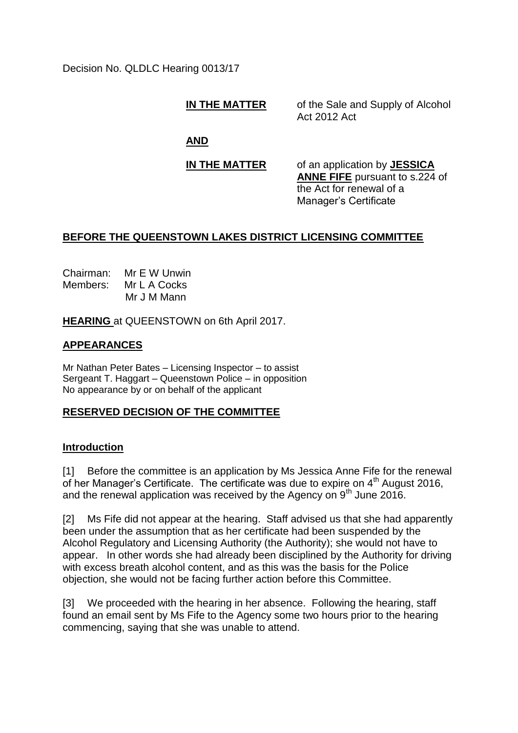Decision No. QLDLC Hearing 0013/17

**IN THE MATTER** of the Sale and Supply of Alcohol Act 2012 Act

**AND**

**IN THE MATTER** of an application by **JESSICA ANNE FIFE** pursuant to s.224 of the Act for renewal of a Manager's Certificate

# **BEFORE THE QUEENSTOWN LAKES DISTRICT LICENSING COMMITTEE**

Chairman: Mr E W Unwin Members: Mr L A Cocks Mr J M Mann

**HEARING** at QUEENSTOWN on 6th April 2017.

# **APPEARANCES**

Mr Nathan Peter Bates – Licensing Inspector – to assist Sergeant T. Haggart – Queenstown Police – in opposition No appearance by or on behalf of the applicant

# **RESERVED DECISION OF THE COMMITTEE**

### **Introduction**

[1] Before the committee is an application by Ms Jessica Anne Fife for the renewal of her Manager's Certificate. The certificate was due to expire on 4<sup>th</sup> August 2016, and the renewal application was received by the Agency on  $9<sup>th</sup>$  June 2016.

[2] Ms Fife did not appear at the hearing. Staff advised us that she had apparently been under the assumption that as her certificate had been suspended by the Alcohol Regulatory and Licensing Authority (the Authority); she would not have to appear. In other words she had already been disciplined by the Authority for driving with excess breath alcohol content, and as this was the basis for the Police objection, she would not be facing further action before this Committee.

[3] We proceeded with the hearing in her absence. Following the hearing, staff found an email sent by Ms Fife to the Agency some two hours prior to the hearing commencing, saying that she was unable to attend.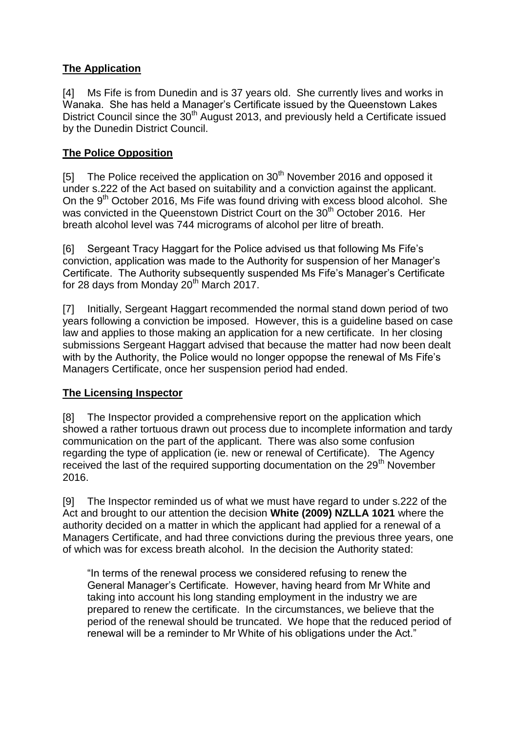# **The Application**

[4] Ms Fife is from Dunedin and is 37 years old. She currently lives and works in Wanaka. She has held a Manager's Certificate issued by the Queenstown Lakes District Council since the 30<sup>th</sup> August 2013, and previously held a Certificate issued by the Dunedin District Council.

# **The Police Opposition**

[5] The Police received the application on  $30<sup>th</sup>$  November 2016 and opposed it under s.222 of the Act based on suitability and a conviction against the applicant. On the 9<sup>th</sup> October 2016, Ms Fife was found driving with excess blood alcohol. She was convicted in the Queenstown District Court on the 30<sup>th</sup> October 2016. Her breath alcohol level was 744 micrograms of alcohol per litre of breath.

[6] Sergeant Tracy Haggart for the Police advised us that following Ms Fife's conviction, application was made to the Authority for suspension of her Manager's Certificate. The Authority subsequently suspended Ms Fife's Manager's Certificate for 28 days from Monday 20<sup>th</sup> March 2017.

[7] Initially, Sergeant Haggart recommended the normal stand down period of two years following a conviction be imposed. However, this is a guideline based on case law and applies to those making an application for a new certificate. In her closing submissions Sergeant Haggart advised that because the matter had now been dealt with by the Authority, the Police would no longer oppopse the renewal of Ms Fife's Managers Certificate, once her suspension period had ended.

# **The Licensing Inspector**

[8] The Inspector provided a comprehensive report on the application which showed a rather tortuous drawn out process due to incomplete information and tardy communication on the part of the applicant. There was also some confusion regarding the type of application (ie. new or renewal of Certificate). The Agency received the last of the required supporting documentation on the 29<sup>th</sup> November 2016.

[9] The Inspector reminded us of what we must have regard to under s.222 of the Act and brought to our attention the decision **White (2009) NZLLA 1021** where the authority decided on a matter in which the applicant had applied for a renewal of a Managers Certificate, and had three convictions during the previous three years, one of which was for excess breath alcohol. In the decision the Authority stated:

"In terms of the renewal process we considered refusing to renew the General Manager's Certificate. However, having heard from Mr White and taking into account his long standing employment in the industry we are prepared to renew the certificate. In the circumstances, we believe that the period of the renewal should be truncated. We hope that the reduced period of renewal will be a reminder to Mr White of his obligations under the Act."